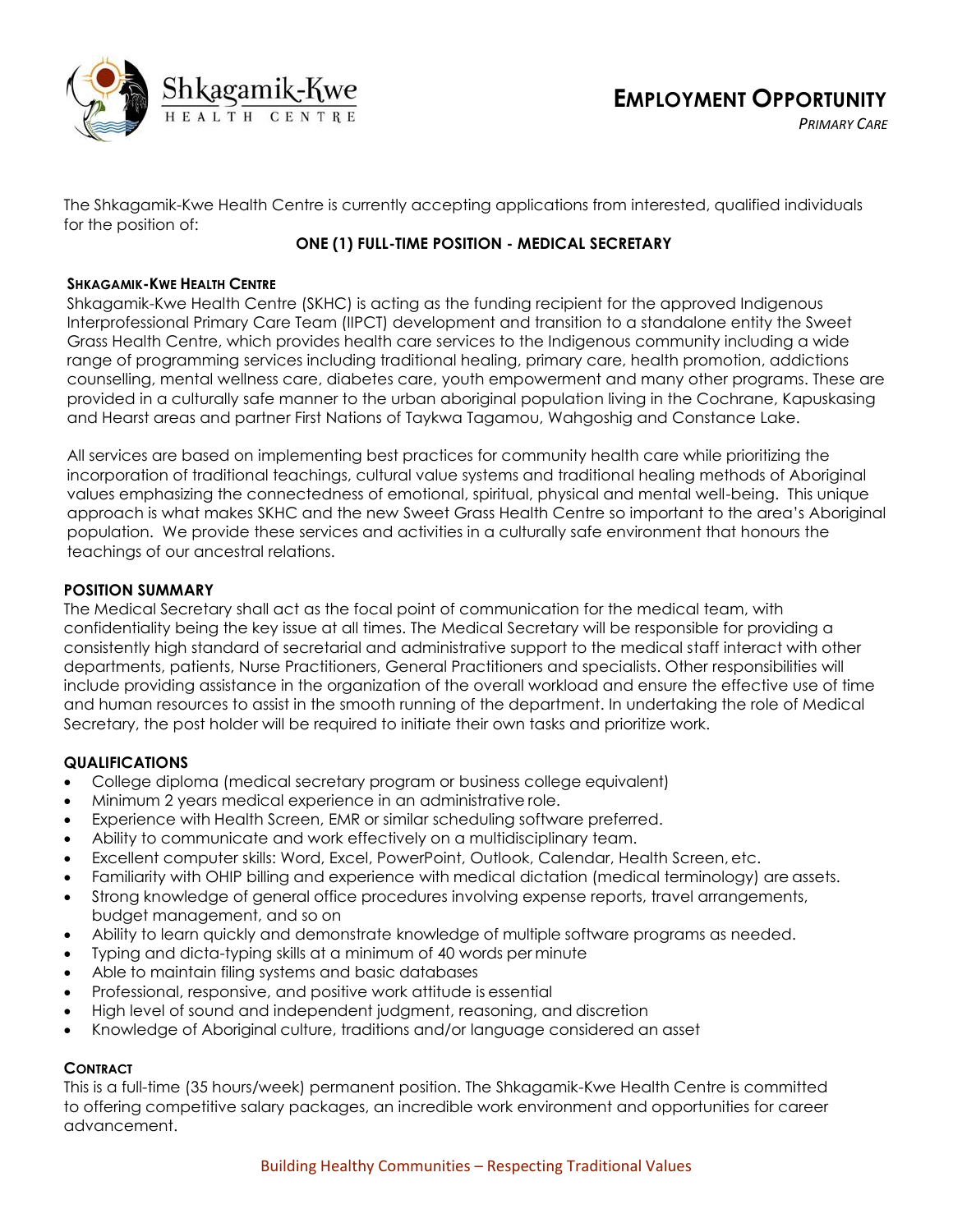

*PRIMARY CARE*

The Shkagamik-Kwe Health Centre is currently accepting applications from interested, qualified individuals for the position of:

# **ONE (1) FULL-TIME POSITION - MEDICAL SECRETARY**

## **SHKAGAMIK-KWE HEALTH CENTRE**

Shkagamik-Kwe Health Centre (SKHC) is acting as the funding recipient for the approved Indigenous Interprofessional Primary Care Team (IIPCT) development and transition to a standalone entity the Sweet Grass Health Centre, which provides health care services to the Indigenous community including a wide range of programming services including traditional healing, primary care, health promotion, addictions counselling, mental wellness care, diabetes care, youth empowerment and many other programs. These are provided in a culturally safe manner to the urban aboriginal population living in the Cochrane, Kapuskasing and Hearst areas and partner First Nations of Taykwa Tagamou, Wahgoshig and Constance Lake.

All services are based on implementing best practices for community health care while prioritizing the incorporation of traditional teachings, cultural value systems and traditional healing methods of Aboriginal values emphasizing the connectedness of emotional, spiritual, physical and mental well-being. This unique approach is what makes SKHC and the new Sweet Grass Health Centre so important to the area's Aboriginal population. We provide these services and activities in a culturally safe environment that honours the teachings of our ancestral relations.

## **POSITION SUMMARY**

The Medical Secretary shall act as the focal point of communication for the medical team, with confidentiality being the key issue at all times. The Medical Secretary will be responsible for providing a consistently high standard of secretarial and administrative support to the medical staff interact with other departments, patients, Nurse Practitioners, General Practitioners and specialists. Other responsibilities will include providing assistance in the organization of the overall workload and ensure the effective use of time and human resources to assist in the smooth running of the department. In undertaking the role of Medical Secretary, the post holder will be required to initiate their own tasks and prioritize work.

## **QUALIFICATIONS**

- College diploma (medical secretary program or business college equivalent)
- Minimum 2 years medical experience in an administrative role.
- Experience with Health Screen, EMR or similar scheduling software preferred.
- Ability to communicate and work effectively on a multidisciplinary team.
- Excellent computer skills: Word, Excel, PowerPoint, Outlook, Calendar, Health Screen, etc.
- Familiarity with OHIP billing and experience with medical dictation (medical terminology) are assets.
- Strong knowledge of general office procedures involving expense reports, travel arrangements, budget management, and so on
- Ability to learn quickly and demonstrate knowledge of multiple software programs as needed.
- Typing and dicta-typing skills at a minimum of 40 words per minute
- Able to maintain filing systems and basic databases
- Professional, responsive, and positive work attitude is essential
- High level of sound and independent judgment, reasoning, and discretion
- Knowledge of Aboriginal culture, traditions and/or language considered an asset

## **CONTRACT**

This is a full-time (35 hours/week) permanent position. The Shkagamik-Kwe Health Centre is committed to offering competitive salary packages, an incredible work environment and opportunities for career advancement.